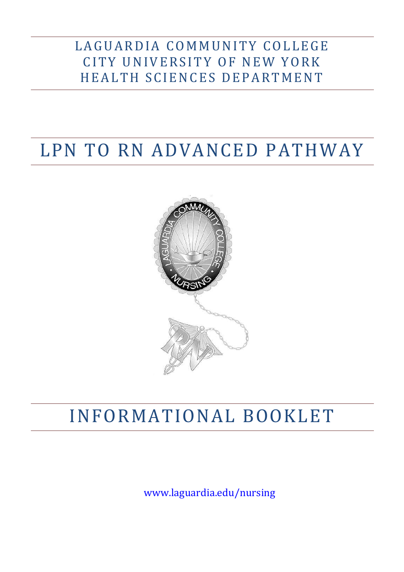# LAGUARDIA COMMUNITY COLLEGE CITY UNIVERSITY OF NEW YORK HEALTH SCIENCES DEPARTMENT

# LPN TO RN ADVANCED PATHWAY



# INFORMATIONAL BOOKLET

[www.laguardia.edu/nursing](http://www.laguardia.edu/nursing)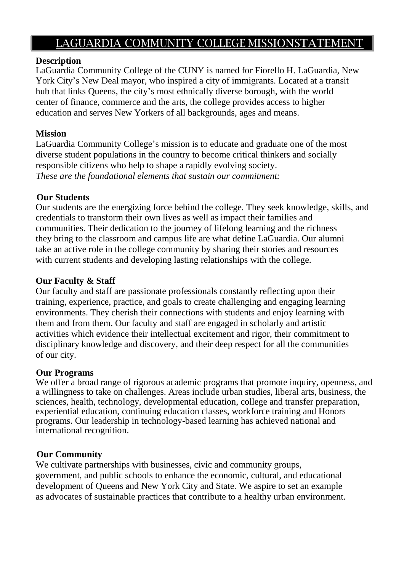# LAGUARDIA COMMUNITY COLLEGE MISSIONSTATEMENT

#### **Description**

LaGuardia Community College of the CUNY is named for Fiorello H. LaGuardia, New York City's New Deal mayor, who inspired a city of immigrants. Located at a transit hub that links Queens, the city's most ethnically diverse borough, with the world center of finance, commerce and the arts, the college provides access to higher education and serves New Yorkers of all backgrounds, ages and means.

#### **Mission**

LaGuardia Community College's mission is to educate and graduate one of the most diverse student populations in the country to become critical thinkers and socially responsible citizens who help to shape a rapidly evolving society. *These are the foundational elements that sustain our commitment:*

#### **Our Students**

Our students are the energizing force behind the college. They seek knowledge, skills, and credentials to transform their own lives as well as impact their families and communities. Their dedication to the journey of lifelong learning and the richness they bring to the classroom and campus life are what define LaGuardia. Our alumni take an active role in the college community by sharing their stories and resources with current students and developing lasting relationships with the college.

### **Our Faculty & Staff**

Our faculty and staff are passionate professionals constantly reflecting upon their training, experience, practice, and goals to create challenging and engaging learning environments. They cherish their connections with students and enjoy learning with them and from them. Our faculty and staff are engaged in scholarly and artistic activities which evidence their intellectual excitement and rigor, their commitment to disciplinary knowledge and discovery, and their deep respect for all the communities of our city.

#### **Our Programs**

We offer a broad range of rigorous academic programs that promote inquiry, openness, and a willingness to take on challenges. Areas include urban studies, liberal arts, business, the sciences, health, technology, developmental education, college and transfer preparation, experiential education, continuing education classes, workforce training and Honors programs. Our leadership in technology-based learning has achieved national and international recognition.

# **Our Community**

We cultivate partnerships with businesses, civic and community groups, government, and public schools to enhance the economic, cultural, and educational development of Queens and New York City and State. We aspire to set an example as advocates of sustainable practices that contribute to a healthy urban environment.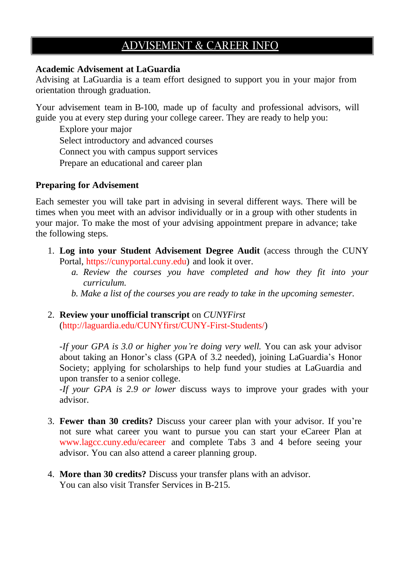# ADVISEMENT & CAREER INFO

#### **Academic Advisement at LaGuardia**

Advising at LaGuardia is a team effort designed to support you in your major from orientation through graduation.

Your advisement team in B-100, made up of faculty and professional advisors, will guide you at every step during your college career. They are ready to help you:

Explore your major Select introductory and advanced courses Connect you with campus support services Prepare an educational and career plan

#### **Preparing for Advisement**

Each semester you will take part in advising in several different ways. There will be times when you meet with an advisor individually or in a group with other students in your major. To make the most of your advising appointment prepare in advance; take the following steps.

- 1. **Log into your Student Advisement Degree Audit** (access through the CUNY Portal, https://cunyportal.cuny.edu) and look it over.
	- *a. Review the courses you have completed and how they fit into your curriculum.*
	- *b. Make a list of the courses you are ready to take in the upcoming semester.*

#### 2. **Review your unofficial transcript** on *CUNYFirst* [\(http://laguardia.edu/CUNYfirst/CUNY-First-Students/\)](http://laguardia.edu/CUNYfirst/CUNY-First-Students/))

*-If your GPA is 3.0 or higher you're doing very well.* You can ask your advisor about taking an Honor's class (GPA of 3.2 needed), joining LaGuardia's Honor Society; applying for scholarships to help fund your studies at LaGuardia and upon transfer to a senior college.

*-If your GPA is 2.9 or lower* discuss ways to improve your grades with your advisor.

- 3. **Fewer than 30 credits?** Discuss your career plan with your advisor. If you're not sure what career you want to pursue you can start your eCareer Plan at [www.lagcc.cuny.edu/ecareer](http://www.lagcc.cuny.edu/ecareer) and complete Tabs 3 and 4 before seeing your advisor. You can also attend a career planning group.
- 4. **More than 30 credits?** Discuss your transfer plans with an advisor. You can also visit Transfer Services in B-215.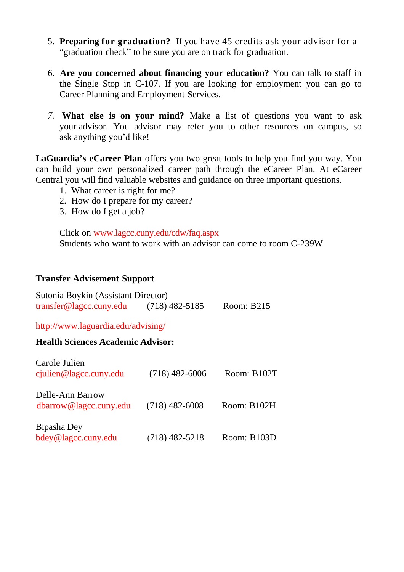- 5. **Preparing for graduation?** If you have 45 credits ask your advisor for a "graduation check" to be sure you are on track for graduation.
- 6. **Are you concerned about financing your education?** You can talk to staff in the Single Stop in C-107. If you are looking for employment you can go to Career Planning and Employment Services.
- *7.* **What else is on your mind?** Make a list of questions you want to ask your advisor. You advisor may refer you to other resources on campus, so ask anything you'd like!

**LaGuardia's eCareer Plan** offers you two great tools to help you find you way. You can build your own personalized career path through the eCareer Plan. At eCareer Central you will find valuable websites and guidance on three important questions.

- 1. What career is right for me?
- 2. How do I prepare for my career?
- 3. How do I get a job?

Click on [www.lagcc.cuny.edu/cdw/faq.aspx](http://www.lagcc.cuny/cdw/faq.aspx) Students who want to work with an advisor can come to room C-239W

#### **Transfer Advisement Support**

| Sutonia Boykin (Assistant Director) |                  |            |
|-------------------------------------|------------------|------------|
| transfer@lagcc.cuny.edu             | $(718)$ 482-5185 | Room: B215 |

<http://www.laguardia.edu/advising/>

#### **Health Sciences Academic Advisor:**

| Carole Julien<br>$c$ julien@lagcc.cuny.edu | $(718)$ 482-6006 | Room: B102T |
|--------------------------------------------|------------------|-------------|
| Delle-Ann Barrow<br>dbarrow@lagcc.cuny.edu | $(718)$ 482-6008 | Room: B102H |
| Bipasha Dey<br>bdey@lagcc.cuny.edu         | $(718)$ 482-5218 | Room: B103D |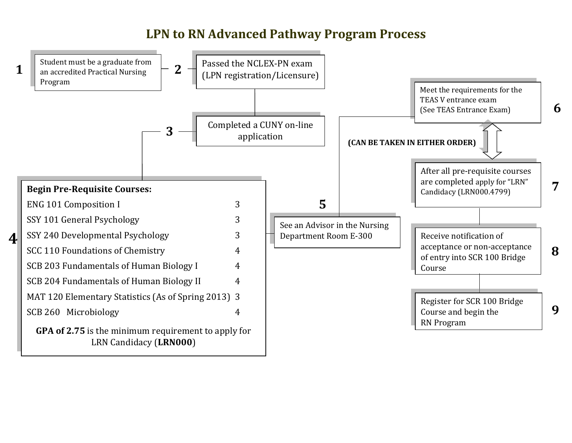# **LPN to RN Advanced Pathway Program Process**

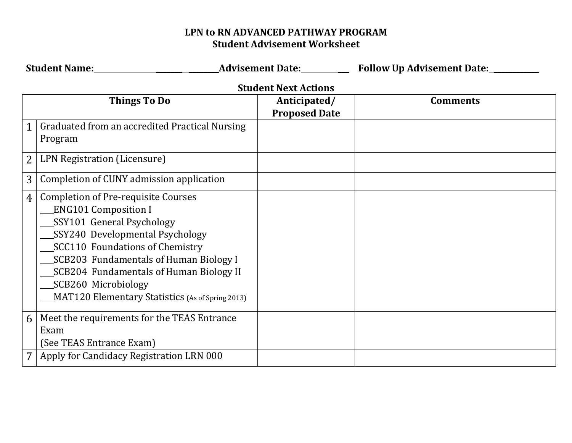# **LPN to RN ADVANCED PATHWAY PROGRAM Student Advisement Worksheet**

|                | <b>Student Name:</b>                                                                                                                                                                                                                                                                                                                         | <b>Advisement Date:</b>              | <b>Follow Up Advisement Date:</b> |  |  |
|----------------|----------------------------------------------------------------------------------------------------------------------------------------------------------------------------------------------------------------------------------------------------------------------------------------------------------------------------------------------|--------------------------------------|-----------------------------------|--|--|
|                | <b>Student Next Actions</b>                                                                                                                                                                                                                                                                                                                  |                                      |                                   |  |  |
|                | <b>Things To Do</b>                                                                                                                                                                                                                                                                                                                          | Anticipated/<br><b>Proposed Date</b> | <b>Comments</b>                   |  |  |
| 1              | Graduated from an accredited Practical Nursing<br>Program                                                                                                                                                                                                                                                                                    |                                      |                                   |  |  |
| 2              | LPN Registration (Licensure)                                                                                                                                                                                                                                                                                                                 |                                      |                                   |  |  |
| 3              | Completion of CUNY admission application                                                                                                                                                                                                                                                                                                     |                                      |                                   |  |  |
| 4              | <b>Completion of Pre-requisite Courses</b><br><b>ENG101 Composition I</b><br>SSY101 General Psychology<br>SSY240 Developmental Psychology<br>SCC110 Foundations of Chemistry<br>SCB203 Fundamentals of Human Biology I<br>SCB204 Fundamentals of Human Biology II<br>SCB260 Microbiology<br>MAT120 Elementary Statistics (As of Spring 2013) |                                      |                                   |  |  |
| 6              | Meet the requirements for the TEAS Entrance<br>Exam<br>(See TEAS Entrance Exam)                                                                                                                                                                                                                                                              |                                      |                                   |  |  |
| $\overline{7}$ | Apply for Candidacy Registration LRN 000                                                                                                                                                                                                                                                                                                     |                                      |                                   |  |  |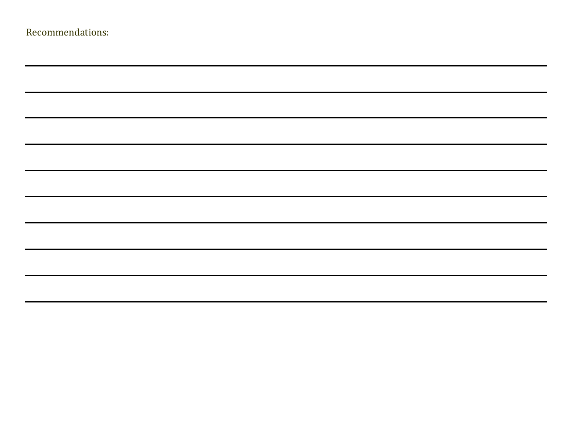| Recommendations: |  |
|------------------|--|
|------------------|--|

| <u> Alexandro de la contrada de la contrada de la contrada de la contrada de la contrada de la contrada de la con</u>                                                |                                                                                  |  |
|----------------------------------------------------------------------------------------------------------------------------------------------------------------------|----------------------------------------------------------------------------------|--|
| <u> Alexandro de la contrada de la contrada de la contrada de la contrada de la contrada de la contrada de la con</u>                                                |                                                                                  |  |
|                                                                                                                                                                      |                                                                                  |  |
| ,一个人的人都是一个人的人,但是,我们的人都是不是,我们的人都是不是,我们的人都是不是,我们的人都是不是,我们的人都是不是,我们的人都是不是,我们的人都是不是,<br>第一百一十一章 不是,我们的人都是不是,我们的人都是不是,我们的人都是不是,我们的人都是不是,我们的人都是不是,我们的人都是不是,我们的人都是不是,我们的人都是 |                                                                                  |  |
|                                                                                                                                                                      |                                                                                  |  |
|                                                                                                                                                                      |                                                                                  |  |
|                                                                                                                                                                      |                                                                                  |  |
|                                                                                                                                                                      | ,我们也不会有什么?""我们的人,我们也不会有什么?""我们的人,我们也不会有什么?""我们的人,我们也不会有什么?""我们的人,我们也不会有什么?""我们的人 |  |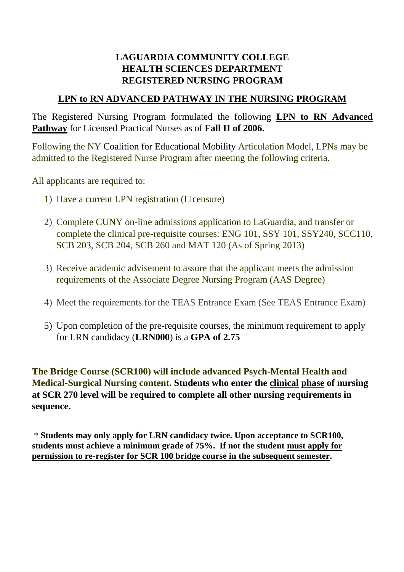# **LAGUARDIA COMMUNITY COLLEGE HEALTH SCIENCES DEPARTMENT REGISTERED NURSING PROGRAM**

### **LPN to RN ADVANCED PATHWAY IN THE NURSING PROGRAM**

The Registered Nursing Program formulated the following **LPN to RN Advanced Pathway** for Licensed Practical Nurses as of **Fall II of 2006.**

Following the NY Coalition for Educational Mobility Articulation Model, LPNs may be admitted to the Registered Nurse Program after meeting the following criteria.

All applicants are required to:

- 1) Have a current LPN registration (Licensure)
- 2) Complete CUNY on-line admissions application to LaGuardia, and transfer or complete the clinical pre-requisite courses: ENG 101, SSY 101, SSY240, SCC110, SCB 203, SCB 204, SCB 260 and MAT 120 (As of Spring 2013)
- 3) Receive academic advisement to assure that the applicant meets the admission requirements of the Associate Degree Nursing Program (AAS Degree)
- 4) Meet the requirements for the TEAS Entrance Exam (See TEAS Entrance Exam)
- 5) Upon completion of the pre-requisite courses, the minimum requirement to apply for LRN candidacy (**LRN000**) is a **GPA of 2.75**

**The Bridge Course (SCR100) will include advanced Psych-Mental Health and Medical-Surgical Nursing content. Students who enter the clinical phase of nursing at SCR 270 level will be required to complete all other nursing requirements in sequence.** 

\* **Students may only apply for LRN candidacy twice. Upon acceptance to SCR100, students must achieve a minimum grade of 75%. If not the student must apply for permission to re-register for SCR 100 bridge course in the subsequent semester.**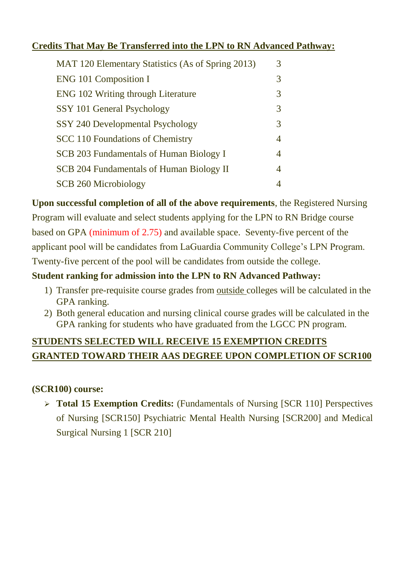# **Credits That May Be Transferred into the LPN to RN Advanced Pathway:**

| MAT 120 Elementary Statistics (As of Spring 2013) | 3 |
|---------------------------------------------------|---|
| <b>ENG 101 Composition I</b>                      | 3 |
| <b>ENG 102 Writing through Literature</b>         | 3 |
| SSY 101 General Psychology                        | 3 |
| SSY 240 Developmental Psychology                  | 3 |
| <b>SCC 110 Foundations of Chemistry</b>           | 4 |
| SCB 203 Fundamentals of Human Biology I           | 4 |
| SCB 204 Fundamentals of Human Biology II          | 4 |
| <b>SCB 260 Microbiology</b>                       |   |

**Upon successful completion of all of the above requirements**, the Registered Nursing Program will evaluate and select students applying for the LPN to RN Bridge course based on GPA (minimum of 2.75) and available space. Seventy-five percent of the applicant pool will be candidates from LaGuardia Community College's LPN Program. Twenty-five percent of the pool will be candidates from outside the college.

# **Student ranking for admission into the LPN to RN Advanced Pathway:**

- 1) Transfer pre-requisite course grades from outside colleges will be calculated in the GPA ranking.
- 2) Both general education and nursing clinical course grades will be calculated in the GPA ranking for students who have graduated from the LGCC PN program.

# **STUDENTS SELECTED WILL RECEIVE 15 EXEMPTION CREDITS GRANTED TOWARD THEIR AAS DEGREE UPON COMPLETION OF SCR100**

# **(SCR100) course:**

 **Total 15 Exemption Credits:** (Fundamentals of Nursing [SCR 110] Perspectives of Nursing [SCR150] Psychiatric Mental Health Nursing [SCR200] and Medical Surgical Nursing 1 [SCR 210]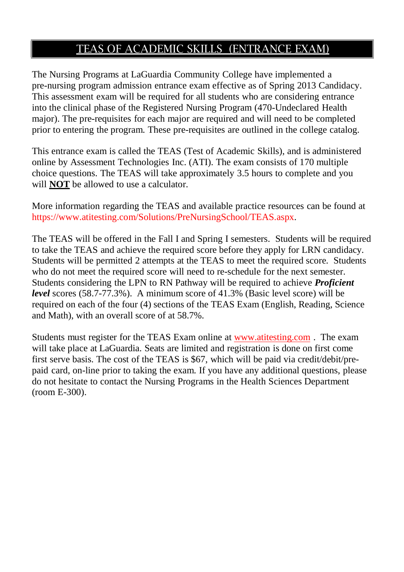# TEAS OF ACADEMIC SKILLS (ENTRANCE EXAM)

The Nursing Programs at LaGuardia Community College have implemented a pre-nursing program admission entrance exam effective as of Spring 2013 Candidacy. This assessment exam will be required for all students who are considering entrance into the clinical phase of the Registered Nursing Program (470-Undeclared Health major). The pre-requisites for each major are required and will need to be completed prior to entering the program. These pre-requisites are outlined in the college catalog.

This entrance exam is called the TEAS (Test of Academic Skills), and is administered online by Assessment Technologies Inc. (ATI). The exam consists of 170 multiple choice questions. The TEAS will take approximately 3.5 hours to complete and you will **NOT** be allowed to use a calculator.

More information regarding the TEAS and available practice resources can be found at https:/[/www.atitesting.com/Solutions/PreNursingSchool/TEAS.aspx.](http://www.atitesting.com/Solutions/PreNursingSchool/TEAS.aspx)

The TEAS will be offered in the Fall I and Spring I semesters. Students will be required to take the TEAS and achieve the required score before they apply for LRN candidacy. Students will be permitted 2 attempts at the TEAS to meet the required score. Students who do not meet the required score will need to re-schedule for the next semester. Students considering the LPN to RN Pathway will be required to achieve *Proficient level* scores (58.7-77.3%). A minimum score of 41.3% (Basic level score) will be required on each of the four (4) sections of the TEAS Exam (English, Reading, Science and Math), with an overall score of at 58.7%.

Students must register for the TEAS Exam online at [www.atitesting.com](http://www.atitesting.com/) . The exam will take place at LaGuardia. Seats are limited and registration is done on first come first serve basis. The cost of the TEAS is \$67, which will be paid via credit/debit/prepaid card, on-line prior to taking the exam. If you have any additional questions, please do not hesitate to contact the Nursing Programs in the Health Sciences Department (room E-300).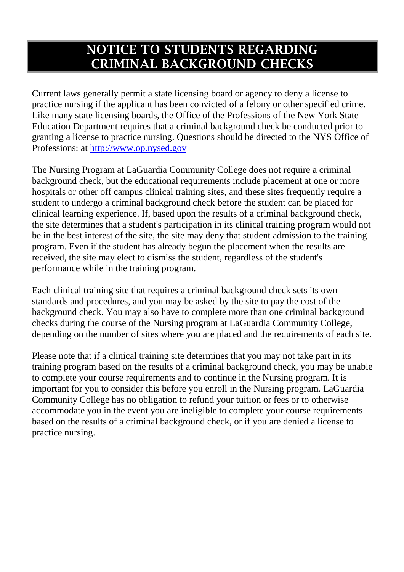# **NOTICE TO STUDENTS REGARDING CRIMINAL BACKGROUND CHECKS**

Current laws generally permit a state licensing board or agency to deny a license to practice nursing if the applicant has been convicted of a felony or other specified crime. Like many state licensing boards, the Office of the Professions of the New York State Education Department requires that a criminal background check be conducted prior to granting a license to practice nursing. Questions should be directed to the NYS Office of Professions: at http://www.op.nysed.gov

The Nursing Program at LaGuardia Community College does not require a criminal background check, but the educational requirements include placement at one or more hospitals or other off campus clinical training sites, and these sites frequently require a student to undergo a criminal background check before the student can be placed for clinical learning experience. If, based upon the results of a criminal background check, the site determines that a student's participation in its clinical training program would not be in the best interest of the site, the site may deny that student admission to the training program. Even if the student has already begun the placement when the results are received, the site may elect to dismiss the student, regardless of the student's performance while in the training program.

Each clinical training site that requires a criminal background check sets its own standards and procedures, and you may be asked by the site to pay the cost of the background check. You may also have to complete more than one criminal background checks during the course of the Nursing program at LaGuardia Community College, depending on the number of sites where you are placed and the requirements of each site.

Please note that if a clinical training site determines that you may not take part in its training program based on the results of a criminal background check, you may be unable to complete your course requirements and to continue in the Nursing program. It is important for you to consider this before you enroll in the Nursing program. LaGuardia Community College has no obligation to refund your tuition or fees or to otherwise accommodate you in the event you are ineligible to complete your course requirements based on the results of a criminal background check, or if you are denied a license to practice nursing.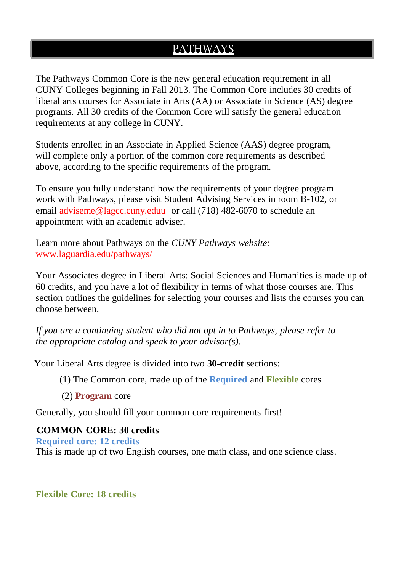# PATHWAYS

The Pathways Common Core is the new general education requirement in all CUNY Colleges beginning in Fall 2013. The Common Core includes 30 credits of liberal arts courses for Associate in Arts (AA) or Associate in Science (AS) degree programs. All 30 credits of the Common Core will satisfy the general education requirements at any college in CUNY.

Students enrolled in an Associate in Applied Science (AAS) degree program, will complete only a portion of the common core requirements as described above, according to the specific requirements of the program.

To ensure you fully understand how the requirements of your degree program work with Pathways, please visit Student Advising Services in room B-102, or email [adviseme@lagcc.cuny.eduu o](mailto:adviseme@lagcc.cuny.eduu)r call (718) 482-6070 to schedule an appointment with an academic adviser.

Learn more about Pathways on the *CUNY Pathways website*: [www.laguardia.edu/pathways/](http://www.laguardia.edu/pathways/)

Your Associates degree in Liberal Arts: Social Sciences and Humanities is made up of 60 credits, and you have a lot of flexibility in terms of what those courses are. This section outlines the guidelines for selecting your courses and lists the courses you can choose between.

*If you are a continuing student who did not opt in to Pathways, please refer to the appropriate catalog and speak to your advisor(s).*

Your Liberal Arts degree is divided into two **30-credit** sections:

(1) The Common core, made up of the **Required** and **Flexible** cores

(2) **Program** core

Generally, you should fill your common core requirements first!

#### **COMMON CORE: 30 credits**

**Required core: 12 credits**

This is made up of two English courses, one math class, and one science class.

**Flexible Core: 18 credits**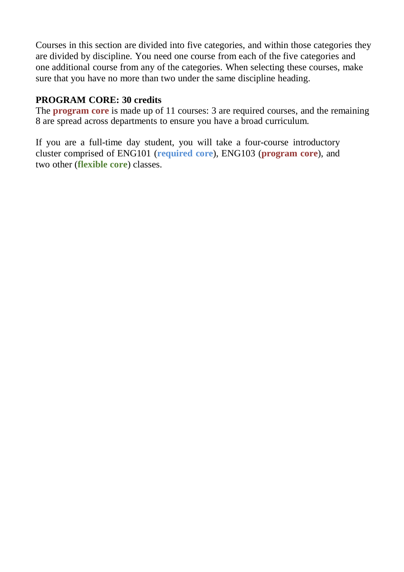Courses in this section are divided into five categories, and within those categories they are divided by discipline. You need one course from each of the five categories and one additional course from any of the categories. When selecting these courses, make sure that you have no more than two under the same discipline heading.

### **PROGRAM CORE: 30 credits**

The **program core** is made up of 11 courses: 3 are required courses, and the remaining 8 are spread across departments to ensure you have a broad curriculum.

If you are a full-time day student, you will take a four-course introductory cluster comprised of ENG101 (**required core**), ENG103 (**program core**), and two other (**flexible core**) classes.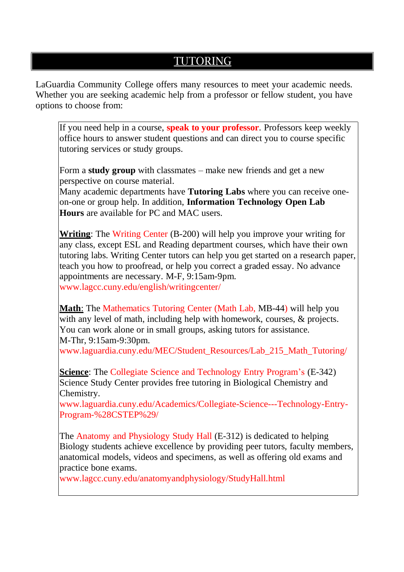# TUTORING

LaGuardia Community College offers many resources to meet your academic needs. Whether you are seeking academic help from a professor or fellow student, you have options to choose from:

If you need help in a course, **speak to your professor**. Professors keep weekly office hours to answer student questions and can direct you to course specific tutoring services or study groups.

Form a **study group** with classmates – make new friends and get a new perspective on course material.

Many academic departments have **Tutoring Labs** where you can receive oneon-one or group help. In addition, **Information Technology Open Lab Hours** are available for PC and MAC users.

**Writing**: The Writing Center (B-200) will help you improve your writing for any class, except ESL and Reading department courses, which have their own tutoring labs. Writing Center tutors can help you get started on a research paper, teach you how to proofread, or help you correct a graded essay. No advance appointments are necessary. M-F, 9:15am-9pm. [www.lagcc.cuny.edu/english/writingcenter/](http://www.lagcc.cuny.edu/english/writingcenter/)

**Math**: The Mathematics Tutoring Center (Math Lab, MB-44) will help you with any level of math, including help with homework, courses, & projects. You can work alone or in small groups, asking tutors for assistance. M-Thr, 9:15am-9:30pm.

[www.laguardia.cuny.edu/MEC/Student\\_Resources/Lab\\_215\\_Math\\_Tutoring/](http://www.laguardia.cuny.edu/MEC/Student_Resources/Lab_215_Math_Tutoring/)

**Science:** The Collegiate Science and Technology Entry Program's (E-342) Science Study Center provides free tutoring in Biological Chemistry and Chemistry.

[www.laguardia.cuny.edu/Academics/Collegiate-Science---Technology-Entry-](http://www.laguardia.cuny.edu/Academics/Collegiate-Science---Technology-Entry-)Program-%28CSTEP%29/

The Anatomy and Physiology Study Hall (E-312) is dedicated to helping Biology students achieve excellence by providing peer tutors, faculty members, anatomical models, videos and specimens, as well as offering old exams and practice bone exams.

[www.lagcc.cuny.edu/anatomyandphysiology/StudyHall.html](http://www.lagcc.cuny.edu/anatomyandphysiology/StudyHall.html)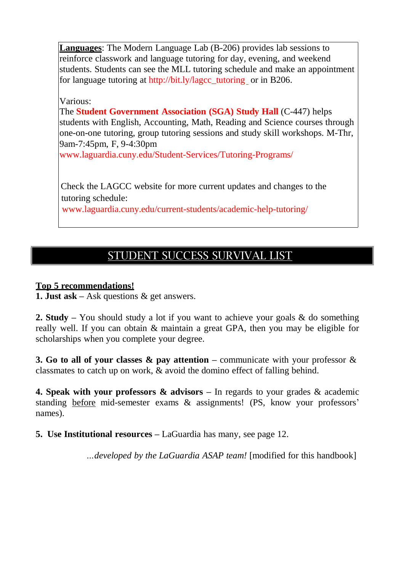**Languages**: The Modern Language Lab (B-206) provides lab sessions to reinforce classwork and language tutoring for day, evening, and weekend students. Students can see the MLL tutoring schedule and make an appointment for language tutoring at [http://bit.ly/lagcc\\_tutoring o](http://bit.ly/lagcc_tutoring)r in B206.

Various:

The **Student Government Association (SGA) Study Hall** (C-447) helps students with English, Accounting, Math, Reading and Science courses through one-on-one tutoring, group tutoring sessions and study skill workshops. M-Thr, 9am-7:45pm, F, 9-4:30pm

[www.laguardia.cuny.edu/Student-Services/Tutoring-Programs/](http://www.laguardia.cuny.edu/Student-Services/Tutoring-Programs/)

 Check the LAGCC website for more current updates and changes to the tutoring schedule:

[www.laguardia.cuny.edu/current-students/academic-help-tutoring/](http://www.laguardia.cuny.edu/current-students/academic-help-tutoring/)

# STUDENT SUCCESS SURVIVAL LIST

#### **Top 5 recommendations!**

**1. Just ask –** Ask questions & get answers.

**2. Study –** You should study a lot if you want to achieve your goals & do something really well. If you can obtain & maintain a great GPA, then you may be eligible for scholarships when you complete your degree.

**3. Go to all of your classes & pay attention –** communicate with your professor & classmates to catch up on work, & avoid the domino effect of falling behind.

**4. Speak with your professors & advisors –** In regards to your grades & academic standing before mid-semester exams & assignments! (PS, know your professors' names).

**5. Use Institutional resources –** LaGuardia has many, see page 12.

*…developed by the LaGuardia ASAP team!* [modified for this handbook]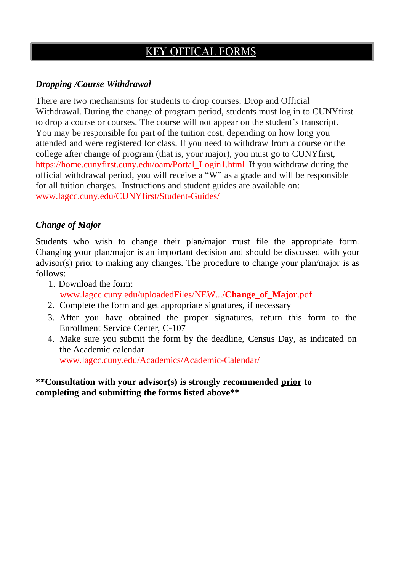# KEY OFFICAL FORMS

### *Dropping /Course Withdrawal*

There are two mechanisms for students to drop courses: Drop and Official Withdrawal. During the change of program period, students must log in to CUNYfirst to drop a course or courses. The course will not appear on the student's transcript. You may be responsible for part of the tuition cost, depending on how long you attended and were registered for class. If you need to withdraw from a course or the college after change of program (that is, your major), you must go to CUNYfirst, https://home.cunyfirst.cuny.edu/oam/Portal\_Login1.html If you withdraw during the official withdrawal period, you will receive a "W" as a grade and will be responsible for all tuition charges. Instructions and student guides are available on: [www.lagcc.cuny.edu/CUNYfirst/Student-Guides/](http://www.lagcc.cuny.edu/CUNYfirst/Student-Guides/)

#### *Change of Major*

Students who wish to change their plan/major must file the appropriate form. Changing your plan/major is an important decision and should be discussed with your advisor(s) prior to making any changes. The procedure to change your plan/major is as follows:

- 1. Download the form: [www.lagcc.cuny.edu/uploadedFiles/NEW.../](http://www.lagcc.cuny.edu/uploadedFiles/NEW.../Change_of_Major.pdf)**Change\_of\_Major**.pdf
- 2. Complete the form and get appropriate signatures, if necessary
- 3. After you have obtained the proper signatures, return this form to the Enrollment Service Center, C-107
- 4. Make sure you submit the form by the deadline, Census Day, as indicated on the Academic calendar [www.lagcc.cuny.edu/Academics/Academic-Calendar/](http://www.lagcc.cuny.edu/Academics/Academic-Calendar/)

#### **\*\*Consultation with your advisor(s) is strongly recommended prior to completing and submitting the forms listed above\*\***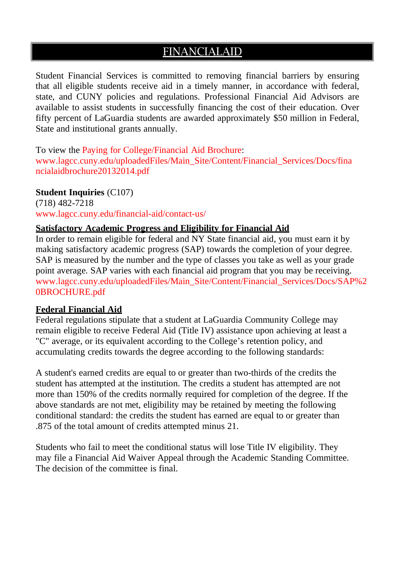# **FINANCIALAID**

Student Financial Services is committed to removing financial barriers by ensuring that all eligible students receive aid in a timely manner, in accordance with federal, state, and CUNY policies and regulations. Professional Financial Aid Advisors are available to assist students in successfully financing the cost of their education. Over fifty percent of LaGuardia students are awarded approximately \$50 million in Federal, State and institutional grants annually.

To view the Paying for College/Financial Aid Brochure: [www.lagcc.cuny.edu/uploadedFiles/Main\\_Site/Content/Financial\\_Services/Docs/fina](http://www.lagcc.cuny.edu/uploadedFiles/Main_Site/Content/Financial_Services/Docs/fina) ncialaidbrochure20132014.pdf

#### **Student Inquiries** (C107)

(718) 482-7218 [www.lagcc.cuny.edu/financial-aid/contact-us/](http://www.lagcc.cuny.edu/financial-aid/contact-us/)

#### **Satisfactory Academic Progress and Eligibility for Financial Aid**

In order to remain eligible for federal and NY State financial aid, you must earn it by making satisfactory academic progress (SAP) towards the completion of your degree. SAP is measured by the number and the type of classes you take as well as your grade point average. SAP varies with each financial aid program that you may be receiving. [www.lagcc.cuny.edu/uploadedFiles/Main\\_Site/Content/Financial\\_Services/Docs/SAP%2](http://www.lagcc.cuny.edu/uploadedFiles/Main_Site/Content/Financial_Services/Docs/SAP%252) 0BROCHURE.pdf

#### **Federal Financial Aid**

Federal regulations stipulate that a student at LaGuardia Community College may remain eligible to receive Federal Aid (Title IV) assistance upon achieving at least a "C" average, or its equivalent according to the College's retention policy, and accumulating credits towards the degree according to the following standards:

A student's earned credits are equal to or greater than two-thirds of the credits the student has attempted at the institution. The credits a student has attempted are not more than 150% of the credits normally required for completion of the degree. If the above standards are not met, eligibility may be retained by meeting the following conditional standard: the credits the student has earned are equal to or greater than .875 of the total amount of credits attempted minus 21.

Students who fail to meet the conditional status will lose Title IV eligibility. They may file a Financial Aid Waiver Appeal through the Academic Standing Committee. The decision of the committee is final.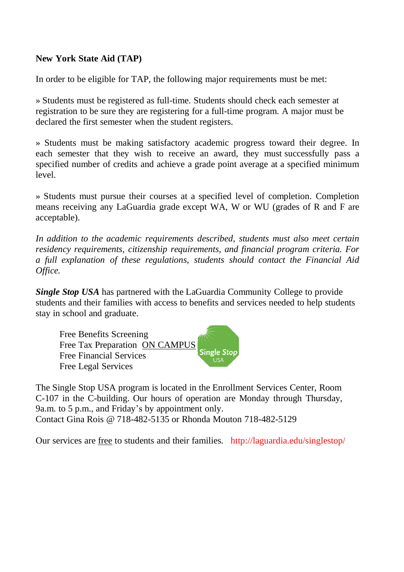#### **New York State Aid (TAP)**

In order to be eligible for TAP, the following major requirements must be met:

» Students must be registered as full-time. Students should check each semester at registration to be sure they are registering for a full-time program. A major must be declared the first semester when the student registers.

» Students must be making satisfactory academic progress toward their degree. In each semester that they wish to receive an award, they must successfully pass a specified number of credits and achieve a grade point average at a specified minimum level.

» Students must pursue their courses at a specified level of completion. Completion means receiving any LaGuardia grade except WA, W or WU (grades of R and F are acceptable).

*In addition to the academic requirements described, students must also meet certain residency requirements, citizenship requirements, and financial program criteria. For a full explanation of these regulations, students should contact the Financial Aid Office.*

*Single Stop USA* has partnered with the LaGuardia Community College to provide students and their families with access to benefits and services needed to help students stay in school and graduate.

Free Benefits Screening Free Tax Preparation ON CAMPUS **Single Sto** Free Financial Services Free Legal Services

The Single Stop USA program is located in the Enrollment Services Center, Room C-107 in the C-building. Our hours of operation are Monday through Thursday, 9a.m. to 5 p.m., and Friday's by appointment only. Contact Gina Rois @ 718-482-5135 or Rhonda Mouton 718-482-5129

Our services are free to students and their families. <http://laguardia.edu/singlestop/>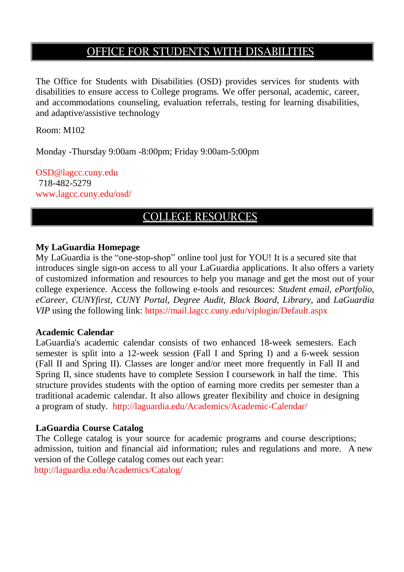# OFFICE FOR STUDENTS WITH DISABILITIES

The Office for Students with Disabilities (OSD) provides services for students with disabilities to ensure access to College programs. We offer personal, academic, career, and accommodations counseling, evaluation referrals, testing for learning disabilities, and adaptive/assistive technology

Room: M102

Monday -Thursday 9:00am -8:00pm; Friday 9:00am-5:00pm

[OSD@lagcc.cuny.edu](mailto:OSD@lagcc.cuny.edu) 718-482-5279 [www.lagcc.cuny.edu/osd/](http://www.lagcc.cuny.edu/osd/)

# COLLEGE RESOURCES

#### **My LaGuardia Homepage**

My LaGuardia is the "one-stop-shop" online tool just for YOU! It is a secured site that introduces single sign-on access to all your LaGuardia applications. It also offers a variety of customized information and resources to help you manage and get the most out of your college experience. Access the following e-tools and resources: *Student email, ePortfolio, eCareer, CUNYfirst, CUNY Portal, Degree Audit, Black Board, Library,* and *LaGuardia VIP* using the following link: https://mail.lagcc.cuny.edu/viplogin/Default.aspx

#### **Academic Calendar**

LaGuardia's academic calendar consists of two enhanced 18-week semesters. Each semester is split into a 12-week session (Fall I and Spring I) and a 6-week session (Fall II and Spring II). Classes are longer and/or meet more frequently in Fall II and Spring II, since students have to complete Session I coursework in half the time. This structure provides students with the option of earning more credits per semester than a traditional academic calendar. It also allows greater flexibility and choice in designing a program of study. <http://laguardia.edu/Academics/Academic-Calendar/>

#### **LaGuardia Course Catalog**

The College catalog is your source for academic programs and course descriptions; admission, tuition and financial aid information; rules and regulations and more. A new version of the College catalog comes out each year: <http://laguardia.edu/Academics/Catalog/>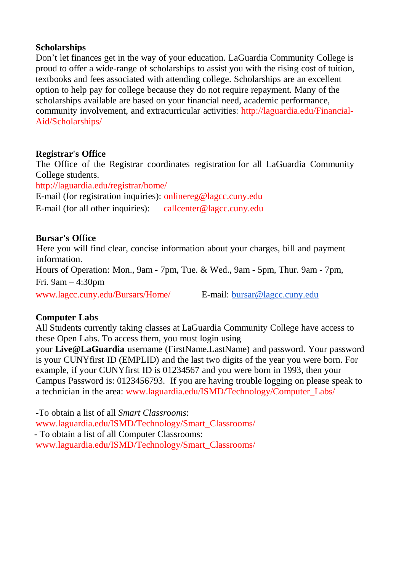#### **Scholarships**

Don't let finances get in the way of your education. LaGuardia Community College is proud to offer a wide-range of scholarships to assist you with the rising cost of tuition, textbooks and fees associated with attending college. Scholarships are an excellent option to help pay for college because they do not require repayment. Many of the scholarships available are based on your financial need, academic performance, community involvement, and extracurricular activities: <http://laguardia.edu/Financial->Aid/Scholarships/

#### **Registrar's Office**

The Office of the Registrar coordinates registration for all LaGuardia Community College students.

<http://laguardia.edu/registrar/home/>

E-mail (for registration inquiries): [onlinereg@lagcc.cuny.edu](mailto:onlinereg@lagcc.cuny.edu)

E-mail (for all other inquiries): [callcenter@lagcc.cuny.edu](mailto:callcenter@lagcc.cuny.edu)

#### **Bursar's Office**

 Here you will find clear, concise information about your charges, bill and payment information. Hours of Operation: Mon., 9am - 7pm, Tue. & Wed., 9am - 5pm, Thur. 9am - 7pm, Fri. 9am – 4:30pm [www.lagcc.cuny.edu/Bursars/Home/](http://www.lagcc.cuny.edu/Bursars/Home/) E-mail: [bursar@lagcc.cuny.edu](mailto:bursar@lagcc.cuny.edu)

#### **Computer Labs**

All Students currently taking classes at LaGuardia Community College have access to these Open Labs. To access them, you must login using

your **Live@LaGuardia** username (FirstName.LastName) and password. Your password is your CUNYfirst ID (EMPLID) and the last two digits of the year you were born. For example, if your CUNYfirst ID is 01234567 and you were born in 1993, then your Campus Password is: 0123456793. If you are having trouble logging on please speak to a technician in the area: [www.laguardia.edu/ISMD/Technology/Computer\\_Labs/](http://www.laguardia.edu/ISMD/Technology/Computer_Labs/)

-To obtain a list of all *Smart Classrooms*: [www.laguardia.edu/ISMD/Technology/Smart\\_Classrooms/](http://www.laguardia.edu/ISMD/Technology/Smart_Classrooms/) - To obtain a list of all Computer Classrooms: [www.laguardia.edu/ISMD/Technology/Smart\\_Classrooms/](http://www.laguardia.edu/ISMD/Technology/Smart_Classrooms/)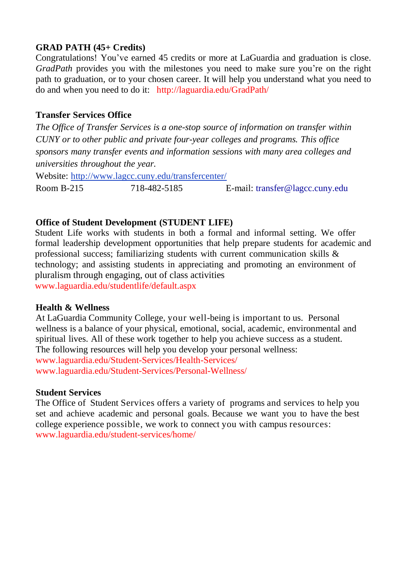### **GRAD PATH (45+ Credits)**

Congratulations! You've earned 45 credits or more at LaGuardia and graduation is close. *GradPath* provides you with the milestones you need to make sure you're on the right path to graduation, or to your chosen career. It will help you understand what you need to do and when you need to do it: <http://laguardia.edu/GradPath/>

### **Transfer Services Office**

*The Office of Transfer Services is a one-stop source of information on transfer within CUNY or to other public and private four-year colleges and programs. This office sponsors many transfer events and information sessions with many area colleges and universities throughout the year.*

Website: <http://www.lagcc.cuny.edu/transfercenter/>

Room B-215 718-482-5185 E-mail: [transfer@lagcc.cuny.edu](mailto:transfer@lagcc.cuny.edu)

#### **Office of Student Development (STUDENT LIFE)**

Student Life works with students in both a formal and informal setting. We offer formal leadership development opportunities that help prepare students for academic and professional success; familiarizing students with current communication skills & technology; and assisting students in appreciating and promoting an environment of pluralism through engaging, out of class activities [www.laguardia.edu/studentlife/default.aspx](http://www.laguardia.edu/studentlife/default.aspx)

#### **Health & Wellness**

At LaGuardia Community College, your well-being is important to us. Personal wellness is a balance of your physical, emotional, social, academic, environmental and spiritual lives. All of these work together to help you achieve success as a student. The following resources will help you develop your personal wellness: [www.laguardia.edu/Student-Services/Health-Services/](http://www.laguardia.edu/Student-Services/Health-Services/) [www.laguardia.edu/Student-Services/Personal-Wellness/](http://www.laguardia.edu/Student-Services/Personal-Wellness/)

#### **Student Services**

The Office of Student Services offers a variety of programs and services to help you set and achieve academic and personal goals. Because we want you to have the best college experience possible, we work to connect you with campus resources: [www.laguardia.edu/student-services/home/](http://www.laguardia.edu/student-services/home/)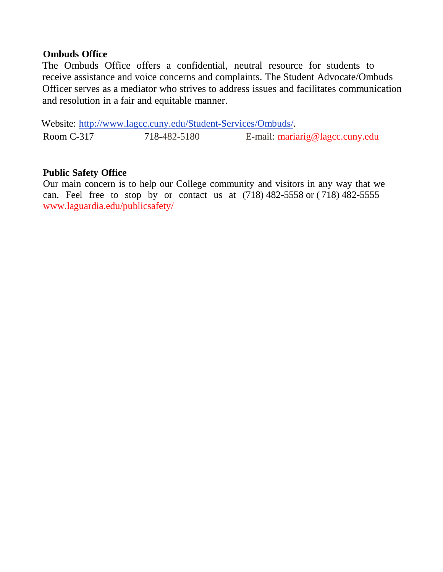#### **Ombuds Office**

The Ombuds Office offers a confidential, neutral resource for students to receive assistance and voice concerns and complaints. The Student Advocate/Ombuds Officer serves as a mediator who strives to address issues and facilitates communication and resolution in a fair and equitable manner.

Website: [http://www.lagcc.cuny.edu/Student-Services/Ombuds/.](http://www.lagcc.cuny.edu/Student-Services/Ombuds/) Room C-317 718-482-5180 E-mail: [mariarig@lagcc.cuny.edu](mailto:mariarig@lagcc.cuny.edu)

#### **Public Safety Office**

Our main concern is to help our College community and visitors in any way that we can. Feel free to stop by or contact us at (718) 482-5558 or ( 718) 482-5555 [www.laguardia.edu/publicsafety/](http://www.laguardia.edu/publicsafety/)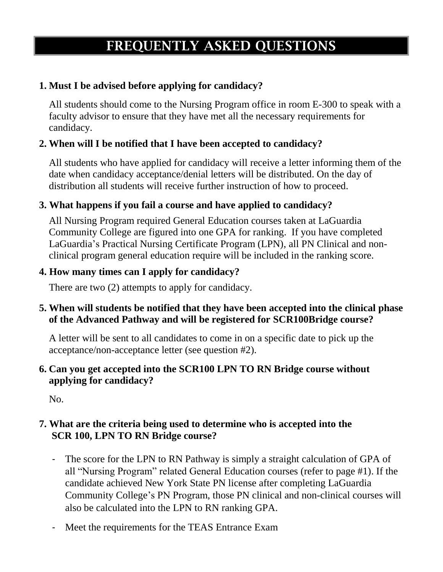# **FREQUENTLY ASKED QUESTIONS**

# **1. Must I be advised before applying for candidacy?**

All students should come to the Nursing Program office in room E-300 to speak with a faculty advisor to ensure that they have met all the necessary requirements for candidacy.

# **2. When will I be notified that I have been accepted to candidacy?**

All students who have applied for candidacy will receive a letter informing them of the date when candidacy acceptance/denial letters will be distributed. On the day of distribution all students will receive further instruction of how to proceed.

### **3. What happens if you fail a course and have applied to candidacy?**

All Nursing Program required General Education courses taken at LaGuardia Community College are figured into one GPA for ranking. If you have completed LaGuardia's Practical Nursing Certificate Program (LPN), all PN Clinical and nonclinical program general education require will be included in the ranking score.

### **4. How many times can I apply for candidacy?**

There are two (2) attempts to apply for candidacy.

### **5. When will students be notified that they have been accepted into the clinical phase of the Advanced Pathway and will be registered for SCR100Bridge course?**

A letter will be sent to all candidates to come in on a specific date to pick up the acceptance/non-acceptance letter (see question #2).

### **6. Can you get accepted into the SCR100 LPN TO RN Bridge course without applying for candidacy?**

No.

### **7. What are the criteria being used to determine who is accepted into the SCR 100, LPN TO RN Bridge course?**

- The score for the LPN to RN Pathway is simply a straight calculation of GPA of all "Nursing Program" related General Education courses (refer to page #1). If the candidate achieved New York State PN license after completing LaGuardia Community College's PN Program, those PN clinical and non-clinical courses will also be calculated into the LPN to RN ranking GPA.
- Meet the requirements for the TEAS Entrance Exam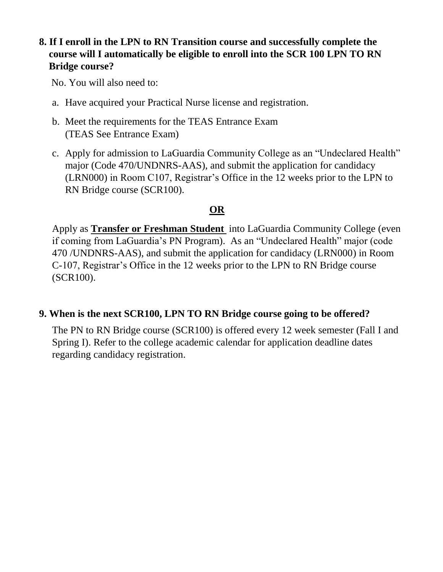### **8. If I enroll in the LPN to RN Transition course and successfully complete the course will I automatically be eligible to enroll into the SCR 100 LPN TO RN Bridge course?**

No. You will also need to:

- a. Have acquired your Practical Nurse license and registration.
- b. Meet the requirements for the TEAS Entrance Exam (TEAS See Entrance Exam)
- c. Apply for admission to LaGuardia Community College as an "Undeclared Health" major (Code 470/UNDNRS-AAS), and submit the application for candidacy (LRN000) in Room C107, Registrar's Office in the 12 weeks prior to the LPN to RN Bridge course (SCR100).

# **OR**

Apply as **Transfer or Freshman Student** into LaGuardia Community College (even if coming from LaGuardia's PN Program). As an "Undeclared Health" major (code 470 /UNDNRS-AAS), and submit the application for candidacy (LRN000) in Room C-107, Registrar's Office in the 12 weeks prior to the LPN to RN Bridge course (SCR100).

#### **9. When is the next SCR100, LPN TO RN Bridge course going to be offered?**

The PN to RN Bridge course (SCR100) is offered every 12 week semester (Fall I and Spring I). Refer to the college academic calendar for application deadline dates regarding candidacy registration.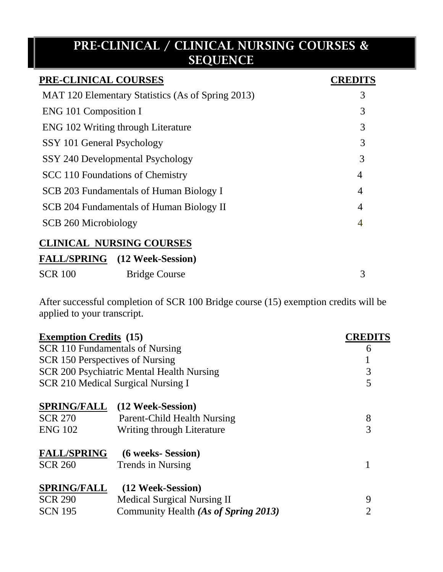# **PRE-CLINICAL / CLINICAL NURSING COURSES & SEQUENCE**

| PRE-CLINICAL COURSES                              | <b>CREDITS</b> |
|---------------------------------------------------|----------------|
| MAT 120 Elementary Statistics (As of Spring 2013) | 3              |
| ENG 101 Composition I                             | 3              |
| ENG 102 Writing through Literature                | 3              |
| SSY 101 General Psychology                        | 3              |
| SSY 240 Developmental Psychology                  | 3              |
| SCC 110 Foundations of Chemistry                  | 4              |
| SCB 203 Fundamentals of Human Biology I           | 4              |
| SCB 204 Fundamentals of Human Biology II          | 4              |
| SCB 260 Microbiology                              | 4              |
| <b>CLINICAL NURSING COURSES</b>                   |                |
| <b>FALL/SPRING</b> (12 Week-Session)              |                |

| <b>SCR 100</b> | <b>Bridge Course</b> |  |
|----------------|----------------------|--|
|                |                      |  |

After successful completion of SCR 100 Bridge course (15) exemption credits will be applied to your transcript.

| <b>Exemption Credits (15)</b>          |                                           | <b>CREDITS</b> |
|----------------------------------------|-------------------------------------------|----------------|
| <b>SCR 110 Fundamentals of Nursing</b> |                                           | 6              |
| SCR 150 Perspectives of Nursing        |                                           |                |
|                                        | SCR 200 Psychiatric Mental Health Nursing | 3              |
|                                        | SCR 210 Medical Surgical Nursing I        | 5              |
| <b>SPRING/FALL</b>                     | (12 Week-Session)                         |                |
| <b>SCR 270</b>                         | Parent-Child Health Nursing               | 8              |
| <b>ENG 102</b>                         | Writing through Literature                | 3              |
| <b>FALL/SPRING</b>                     | (6 weeks- Session)                        |                |
| <b>SCR 260</b>                         | Trends in Nursing                         |                |
| <b>SPRING/FALL</b>                     | (12 Week-Session)                         |                |
| <b>SCR 290</b>                         | <b>Medical Surgical Nursing II</b>        | 9              |
| <b>SCN 195</b>                         | Community Health (As of Spring 2013)      | 2              |